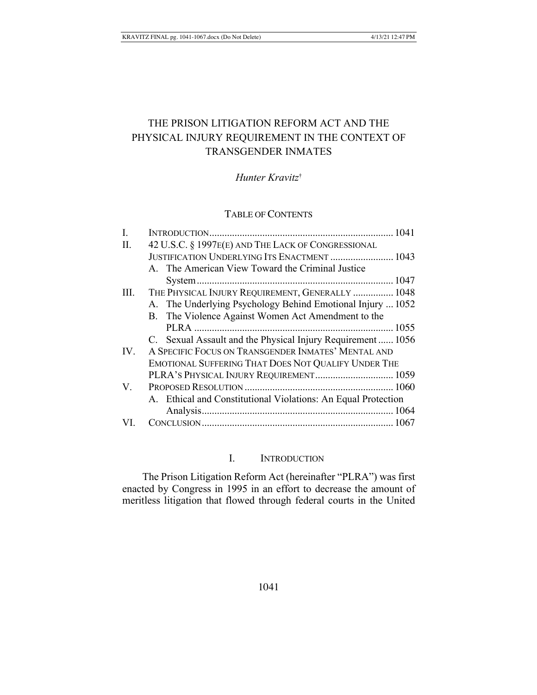# THE PRISON LITIGATION REFORM ACT AND THE PHYSICAL INJURY REQUIREMENT IN THE CONTEXT OF **TRANSGENDER INMATES**

# Hunter Kravitz<sup>†</sup>

# **TABLE OF CONTENTS**

| I.  |                                                               |  |
|-----|---------------------------------------------------------------|--|
| П.  | 42 U.S.C. § 1997E(E) AND THE LACK OF CONGRESSIONAL            |  |
|     | JUSTIFICATION UNDERLYING ITS ENACTMENT  1043                  |  |
|     | A. The American View Toward the Criminal Justice              |  |
|     |                                                               |  |
| Ш.  | THE PHYSICAL INJURY REQUIREMENT, GENERALLY  1048              |  |
|     | A. The Underlying Psychology Behind Emotional Injury  1052    |  |
|     | B. The Violence Against Women Act Amendment to the            |  |
|     |                                                               |  |
|     | C. Sexual Assault and the Physical Injury Requirement  1056   |  |
| IV. | A SPECIFIC FOCUS ON TRANSGENDER INMATES' MENTAL AND           |  |
|     | EMOTIONAL SUFFERING THAT DOES NOT QUALIFY UNDER THE           |  |
|     | PLRA'S PHYSICAL INJURY REQUIREMENT 1059                       |  |
| V.  |                                                               |  |
|     | A. Ethical and Constitutional Violations: An Equal Protection |  |
|     |                                                               |  |
| VL  |                                                               |  |
|     |                                                               |  |

#### L. **INTRODUCTION**

The Prison Litigation Reform Act (hereinafter "PLRA") was first enacted by Congress in 1995 in an effort to decrease the amount of meritless litigation that flowed through federal courts in the United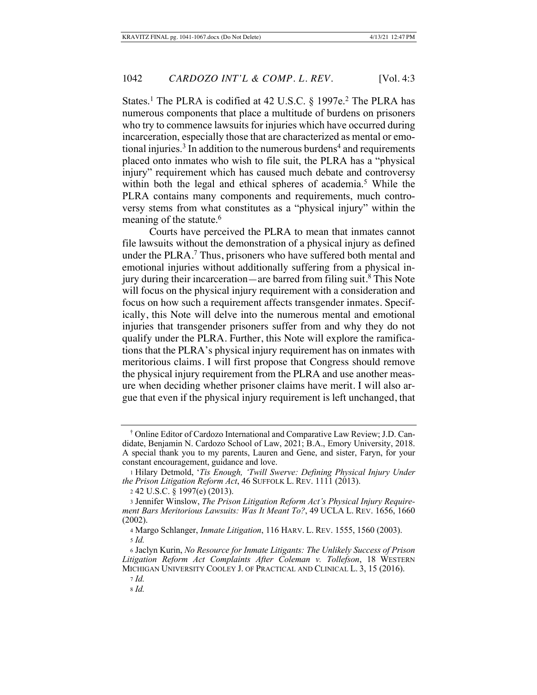States.<sup>1</sup> The PLRA is codified at 42 U.S.C.  $\S$  1997e.<sup>2</sup> The PLRA has numerous components that place a multitude of burdens on prisoners who try to commence lawsuits for injuries which have occurred during incarceration, especially those that are characterized as mental or emotional injuries.<sup>3</sup> In addition to the numerous burdens<sup>4</sup> and requirements placed onto inmates who wish to file suit, the PLRA has a "physical injury" requirement which has caused much debate and controversy within both the legal and ethical spheres of academia.<sup>5</sup> While the PLRA contains many components and requirements, much controversy stems from what constitutes as a "physical injury" within the meaning of the statute.<sup>6</sup>

 Courts have perceived the PLRA to mean that inmates cannot file lawsuits without the demonstration of a physical injury as defined under the PLRA.<sup>7</sup> Thus, prisoners who have suffered both mental and emotional injuries without additionally suffering from a physical injury during their incarceration—are barred from filing suit.<sup>8</sup> This Note will focus on the physical injury requirement with a consideration and focus on how such a requirement affects transgender inmates. Specifically, this Note will delve into the numerous mental and emotional injuries that transgender prisoners suffer from and why they do not qualify under the PLRA. Further, this Note will explore the ramifications that the PLRA's physical injury requirement has on inmates with meritorious claims. I will first propose that Congress should remove the physical injury requirement from the PLRA and use another measure when deciding whether prisoner claims have merit. I will also argue that even if the physical injury requirement is left unchanged, that

<sup>&</sup>lt;sup>†</sup> Online Editor of Cardozo International and Comparative Law Review; J.D. Candidate, Benjamin N. Cardozo School of Law, 2021; B.A., Emory University, 2018. A special thank you to my parents, Lauren and Gene, and sister, Faryn, for your constant encouragement, guidance and love.

<sup>1</sup> Hilary Detmold, 'Tis Enough, 'Twill Swerve: Defining Physical Injury Under *the Prison Litigation Reform Act, 46 SUFFOLK L. REV. 1111 (2013).* 

<sup>2 42</sup> U.S.C. § 1997(e) (2013).

<sup>3</sup> Jennifer Winslow, *The Prison Litigation Reform Act's Physical Injury Require*ment Bars Meritorious Lawsuits: Was It Meant To?, 49 UCLA L. REV. 1656, 1660  $(2002).$ 

<sup>4</sup> Margo Schlanger, *Inmate Litigation*, 116 HARV. L. REV. 1555, 1560 (2003). *\* Id.* 

 $6$  Jaclyn Kurin, *No Resource for Inmate Litigants: The Unlikely Success of Prison* Litigation Reform Act Complaints After Coleman v. Tollefson, 18 WESTERN MICHIGAN UNIVERSITY COOLEY J. OF PRACTICAL AND CLINICAL L. 3, 15 (2016).

*\**

*\**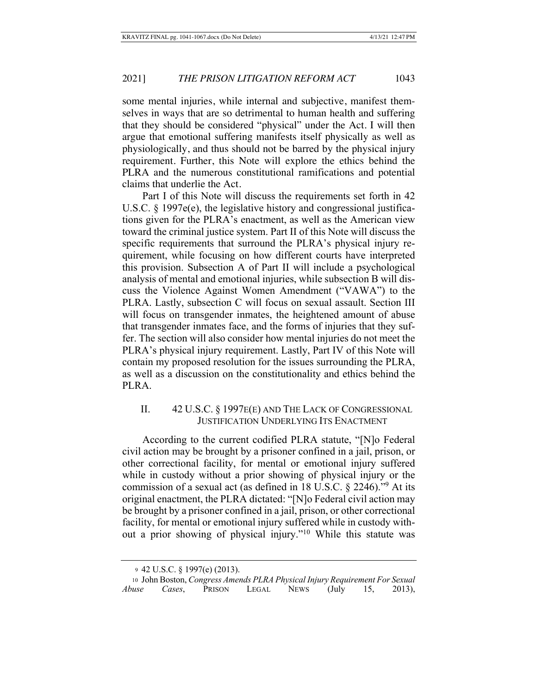some mental injuries, while internal and subjective, manifest themselves in ways that are so detrimental to human health and suffering that they should be considered "physical" under the Act. I will then argue that emotional suffering manifests itself physically as well as physiologically, and thus should not be barred by the physical injury requirement. Further, this Note will explore the ethics behind the PLRA and the numerous constitutional ramifications and potential claims that underlie the Act.

Part I of this Note will discuss the requirements set forth in 42 U.S.C. § 1997e(e), the legislative history and congressional justifications given for the PLRA's enactment, as well as the American view toward the criminal justice system. Part II of this Note will discuss the specific requirements that surround the PLRA's physical injury requirement, while focusing on how different courts have interpreted this provision. Subsection A of Part II will include a psychological analysis of mental and emotional injuries, while subsection B will discuss the Violence Against Women Amendment ("VAWA") to the PLRA. Lastly, subsection C will focus on sexual assault. Section III will focus on transgender inmates, the heightened amount of abuse that transgender inmates face, and the forms of injuries that they suffer. The section will also consider how mental injuries do not meet the PLRA's physical injury requirement. Lastly, Part IV of this Note will contain my proposed resolution for the issues surrounding the PLRA, as well as a discussion on the constitutionality and ethics behind the PLRA.

## II.  $42 \text{ U.S.C.} \S 1997 \text{E(E)}$  and The Lack of Congressional JUSTIFICATION UNDERLYING ITS ENACTMENT

According to the current codified PLRA statute, "[N]o Federal civil action may be brought by a prisoner confined in a jail, prison, or other correctional facility, for mental or emotional injury suffered while in custody without a prior showing of physical injury or the commission of a sexual act (as defined in 18 U.S.C.  $\S$  2246).<sup>79</sup> At its original enactment, the PLRA dictated: "[N]o Federal civil action may be brought by a prisoner confined in a jail, prison, or other correctional facility, for mental or emotional injury suffered while in custody without a prior showing of physical injury."<sup>10</sup> While this statute was

<sup>9 42</sup> U.S.C. § 1997(e) (2013).

<sup>10</sup> John Boston, Congress Amends PLRA Physical Injury Requirement For Sexual *Abuse Cases*, PRISON LEGAL NEWS (July 15, 20  $2013$ ),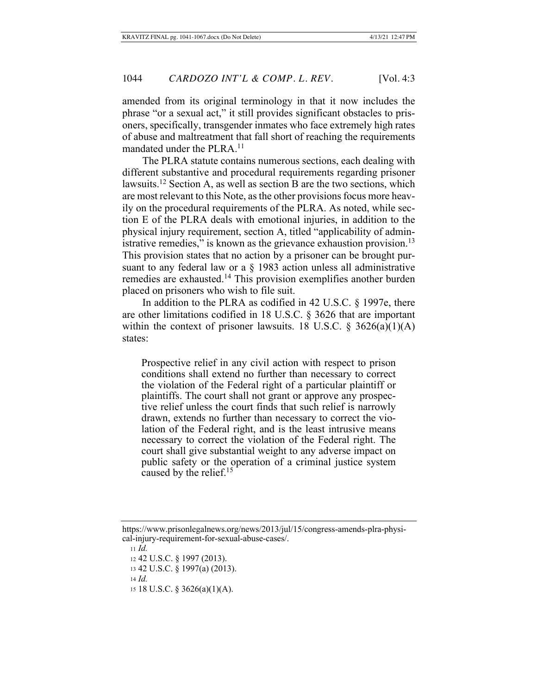amended from its original terminology in that it now includes the phrase "or a sexual act," it still provides significant obstacles to prisoners, specifically, transgender inmates who face extremely high rates of abuse and maltreatment that fall short of reaching the requirements mandated under the  $PLRA<sup>11</sup>$ 

The PLRA statute contains numerous sections, each dealing with different substantive and procedural requirements regarding prisoner lawsuits.<sup>12</sup> Section A, as well as section B are the two sections, which are most relevant to this Note, as the other provisions focus more heavily on the procedural requirements of the PLRA. As noted, while section E of the PLRA deals with emotional injuries, in addition to the physical injury requirement, section A, titled "applicability of administrative remedies," is known as the grievance exhaustion provision.<sup>13</sup> This provision states that no action by a prisoner can be brought pursuant to any federal law or a  $\S$  1983 action unless all administrative remedies are exhausted.<sup>14</sup> This provision exemplifies another burden placed on prisoners who wish to file suit.

In addition to the PLRA as codified in 42 U.S.C.  $\S$  1997e, there are other limitations codified in 18 U.S.C.  $\S$  3626 that are important within the context of prisoner lawsuits. 18 U.S.C.  $\S$  3626(a)(1)(A) states:

Prospective relief in any civil action with respect to prison conditions shall extend no further than necessary to correct the violation of the Federal right of a particular plaintiff or plaintiffs. The court shall not grant or approve any prospective relief unless the court finds that such relief is narrowly drawn, extends no further than necessary to correct the violation of the Federal right, and is the least intrusive means necessary to correct the violation of the Federal right. The court shall give substantial weight to any adverse impact on public safety or the operation of a criminal justice system caused by the relief. $15$ 

15 18 U.S.C. § 3626(a)(1)(A).

https://www.prisonlegalnews.org/news/2013/jul/15/congress-amends-plra-physical-injury-requirement-for-sexual-abuse-cases/.

<sup>11</sup> *Id.* 

<sup>12 42</sup> U.S.C. § 1997 (2013).

<sup>13 42</sup> U.S.C. § 1997(a) (2013).

 $\frac{14}{d}$ .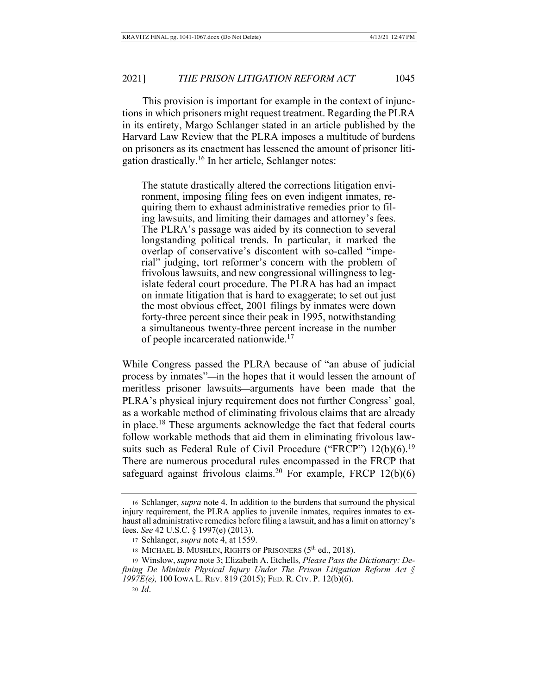#### 2021] *THE PRISON LITIGATION REFORM ACT* 1045

This provision is important for example in the context of injunctions in which prisoners might request treatment. Regarding the PLRA in its entirety, Margo Schlanger stated in an article published by the Harvard Law Review that the PLRA imposes a multitude of burdens on prisoners as its enactment has lessened the amount of prisoner litigation drastically.<sup>16</sup> In her article, Schlanger notes:

The statute drastically altered the corrections litigation environment, imposing filing fees on even indigent inmates, requiring them to exhaust administrative remedies prior to filing lawsuits, and limiting their damages and attorney's fees. The PLRA's passage was aided by its connection to several longstanding political trends. In particular, it marked the overlap of conservative's discontent with so-called "imperial" judging, tort reformer's concern with the problem of frivolous lawsuits, and new congressional willingness to legislate federal court procedure. The PLRA has had an impact on inmate litigation that is hard to exaggerate; to set out just the most obvious effect, 2001 filings by inmates were down forty-three percent since their peak in 1995, notwithstanding a simultaneous twenty-three percent increase in the number of people incarcerated nationwide.<sup>17</sup>

While Congress passed the PLRA because of "an abuse of judicial process by inmates"—in the hopes that it would lessen the amount of meritless prisoner lawsuits—arguments have been made that the PLRA's physical injury requirement does not further Congress' goal, as a workable method of eliminating frivolous claims that are already in place.<sup>18</sup> These arguments acknowledge the fact that federal courts follow workable methods that aid them in eliminating frivolous lawsuits such as Federal Rule of Civil Procedure ("FRCP")  $12(b)(6)$ .<sup>19</sup> There are numerous procedural rules encompassed in the FRCP that safeguard against frivolous claims.<sup>20</sup> For example, FRCP  $12(b)(6)$ 

<sup>16</sup> Schlanger, *supra* note 4. In addition to the burdens that surround the physical injury requirement, the PLRA applies to juvenile inmates, requires inmates to exhaust all administrative remedies before filing a lawsuit, and has a limit on attorney's fees. See 42 U.S.C. § 1997(e) (2013).

<sup>17</sup> Schlanger, *supra* note 4, at 1559.

<sup>18</sup> MICHAEL B. MUSHLIN, RIGHTS OF PRISONERS (5<sup>th</sup> ed., 2018).

<sup>19</sup> Winslow, *supra* note 3; Elizabeth A. Etchells, *Please Pass the Dictionary: Defining De Minimis Physical Injury Under The Prison Litigation Reform Act*  $\oint$ *1997E(e)*, 100 IOWA L. REV. 819 (2015); FED. R. CIV. P. 12(b)(6). 20 *Id*.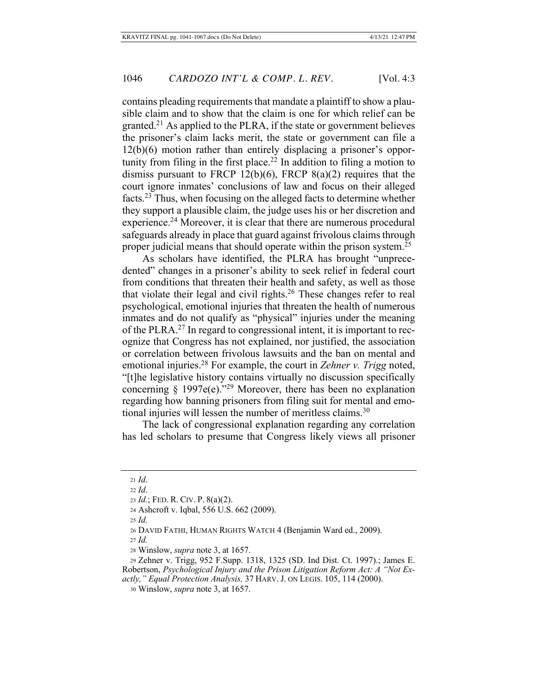contains pleading requirements that mandate a plaintiff to show a plausible claim and to show that the claim is one for which relief can be granted.<sup>21</sup> As applied to the PLRA, if the state or government believes the prisoner's claim lacks merit, the state or government can file a  $12(b)(6)$  motion rather than entirely displacing a prisoner's opportunity from filing in the first place.<sup>22</sup> In addition to filing a motion to dismiss pursuant to FRCP  $12(b)(6)$ , FRCP  $8(a)(2)$  requires that the court ignore inmates' conclusions of law and focus on their alleged facts.<sup>23</sup> Thus, when focusing on the alleged facts to determine whether they support a plausible claim, the judge uses his or her discretion and experience.<sup>24</sup> Moreover, it is clear that there are numerous procedural safeguards already in place that guard against frivolous claims through proper judicial means that should operate within the prison system.<sup> $25$ </sup>

As scholars have identified, the PLRA has brought "unprecedented" changes in a prisoner's ability to seek relief in federal court from conditions that threaten their health and safety, as well as those that violate their legal and civil rights.<sup>26</sup> These changes refer to real psychological, emotional injuries that threaten the health of numerous inmates and do not qualify as "physical" injuries under the meaning of the PLRA.<sup>27</sup> In regard to congressional intent, it is important to recognize that Congress has not explained, nor justified, the association or correlation between frivolous lawsuits and the ban on mental and emotional injuries.<sup>28</sup> For example, the court in Zehner v. Trigg noted, "[t]he legislative history contains virtually no discussion specifically concerning § 1997e(e)."<sup>29</sup> Moreover, there has been no explanation regarding how banning prisoners from filing suit for mental and emotional injuries will lessen the number of meritless claims.<sup>30</sup>

The lack of congressional explanation regarding any correlation has led scholars to presume that Congress likely views all prisoner

29 Zehner v. Trigg, 952 F.Supp. 1318, 1325 (SD. Ind Dist. Ct. 1997).; James E. Robertson, Psychological Injury and the Prison Litigation Reform Act: A "Not Exactly," Equal Protection Analysis, 37 HARV. J. ON LEGIS. 105, 114 (2000).

30 Winslow, *supra* note 3, at 1657.

 $21$  *Id.* 

 $22$  *Id.* 

<sup>23</sup>  $Id$ ; FED. R. CIV. P.  $8(a)(2)$ .

<sup>24</sup> Ashcroft v. Iqbal, 556 U.S. 662 (2009).

<sup>25</sup> *Id.* 

<sup>26</sup> DAVID FATHI, HUMAN RIGHTS WATCH 4 (Benjamin Ward ed., 2009).

 $27$  *Id.* 

<sup>28</sup> Winslow, *supra* note 3, at 1657.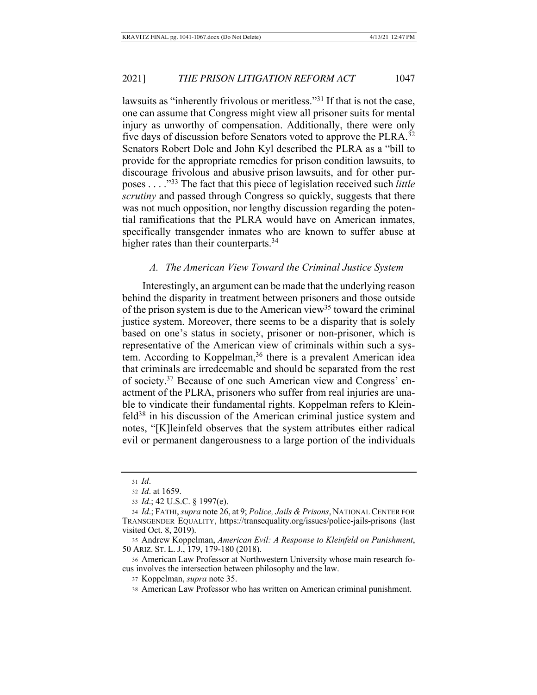lawsuits as "inherently frivolous or meritless."<sup>31</sup> If that is not the case, one can assume that Congress might view all prisoner suits for mental injury as unworthy of compensation. Additionally, there were only five days of discussion before Senators voted to approve the PLRA.<sup>32</sup> Senators Robert Dole and John Kyl described the PLRA as a "bill to provide for the appropriate remedies for prison condition lawsuits, to discourage frivolous and abusive prison lawsuits, and for other purposes . . . .<sup>33</sup><sup>3</sup> The fact that this piece of legislation received such *little scrutiny* and passed through Congress so quickly, suggests that there was not much opposition, nor lengthy discussion regarding the potential ramifications that the PLRA would have on American inmates, specifically transgender inmates who are known to suffer abuse at higher rates than their counterparts.<sup>34</sup>

#### A. The American View Toward the Criminal Justice System

Interestingly, an argument can be made that the underlying reason behind the disparity in treatment between prisoners and those outside of the prison system is due to the American view<sup>35</sup> toward the criminal justice system. Moreover, there seems to be a disparity that is solely based on one's status in society, prisoner or non-prisoner, which is representative of the American view of criminals within such a system. According to Koppelman,<sup>36</sup> there is a prevalent American idea that criminals are irredeemable and should be separated from the rest of society.<sup>37</sup> Because of one such American view and Congress' enactment of the PLRA, prisoners who suffer from real injuries are unable to vindicate their fundamental rights. Koppelman refers to Kleinfeld<sup>38</sup> in his discussion of the American criminal justice system and notes, "[K]leinfeld observes that the system attributes either radical evil or permanent dangerousness to a large portion of the individuals

 $31$  *Id.* 

<sup>32</sup> *Id.* at 1659.

<sup>33</sup> *Id.*; 42 U.S.C. § 1997(e).

<sup>34</sup> *Id.*; FATHI, supra note 26, at 9; Police, Jails & Prisons, NATIONAL CENTER FOR TRANSGENDER EQUALITY, https://transequality.org/issues/police-jails-prisons (last visited Oct.  $8, 2019$ ).

<sup>35</sup> Andrew Koppelman, American Evil: A Response to Kleinfeld on Punishment, 50 ARIZ. ST. L. J., 179, 179-180 (2018).

<sup>36</sup> American Law Professor at Northwestern University whose main research focus involves the intersection between philosophy and the law.

<sup>37</sup> Koppelman, *supra* note 35.

<sup>38</sup> American Law Professor who has written on American criminal punishment.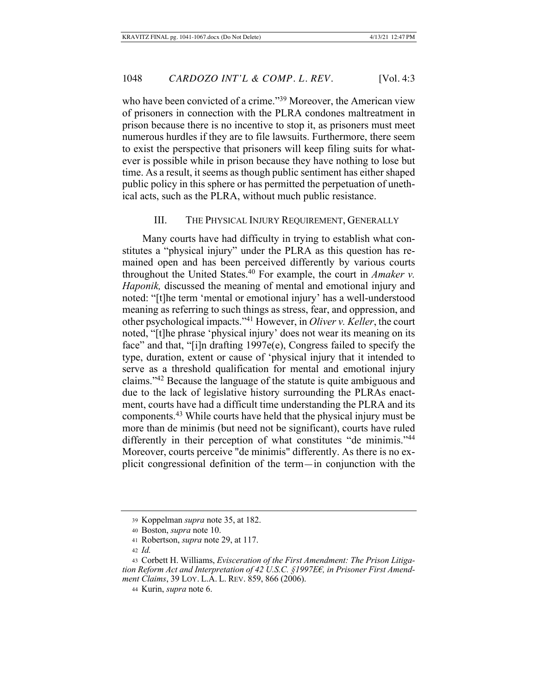who have been convicted of a crime."<sup>39</sup> Moreover, the American view of prisoners in connection with the PLRA condones maltreatment in prison because there is no incentive to stop it, as prisoners must meet numerous hurdles if they are to file lawsuits. Furthermore, there seem to exist the perspective that prisoners will keep filing suits for whatever is possible while in prison because they have nothing to lose but time. As a result, it seems as though public sentiment has either shaped public policy in this sphere or has permitted the perpetuation of unethical acts, such as the PLRA, without much public resistance.

## III. THE PHYSICAL INJURY REQUIREMENT, GENERALLY

Many courts have had difficulty in trying to establish what constitutes a "physical injury" under the PLRA as this question has remained open and has been perceived differently by various courts throughout the United States.<sup>40</sup> For example, the court in *Amaker v*. Haponik, discussed the meaning of mental and emotional injury and noted: "[t]he term 'mental or emotional injury' has a well-understood meaning as referring to such things as stress, fear, and oppression, and other psychological impacts."<sup>41</sup> However, in Oliver v. Keller, the court noted, "[t]he phrase 'physical injury' does not wear its meaning on its face" and that, "[i]n drafting  $1997e(e)$ , Congress failed to specify the type, duration, extent or cause of 'physical injury that it intended to serve as a threshold qualification for mental and emotional injury claims." $42$  Because the language of the statute is quite ambiguous and due to the lack of legislative history surrounding the PLRAs enactment, courts have had a difficult time understanding the PLRA and its components.<sup>43</sup> While courts have held that the physical injury must be more than de minimis (but need not be significant), courts have ruled differently in their perception of what constitutes "de minimis."<sup>44</sup> Moreover, courts perceive "de minimis" differently. As there is no explicit congressional definition of the term—in conjunction with the

<sup>39</sup> Koppelman *supra* note 35, at 182.

<sup>40</sup> Boston, *supra* note 10.

<sup>41</sup> Robertson, *supra* note 29, at 117.

<sup>42</sup>  $Id$ 

<sup>43</sup> Corbett H. Williams, *Evisceration of the First Amendment: The Prison Litiga*tion Reform Act and Interpretation of 42 U.S.C. §1997EE, in Prisoner First Amendment Claims, 39 LOY. L.A. L. REV. 859, 866 (2006).

<sup>44</sup> Kurin, *supra* note 6.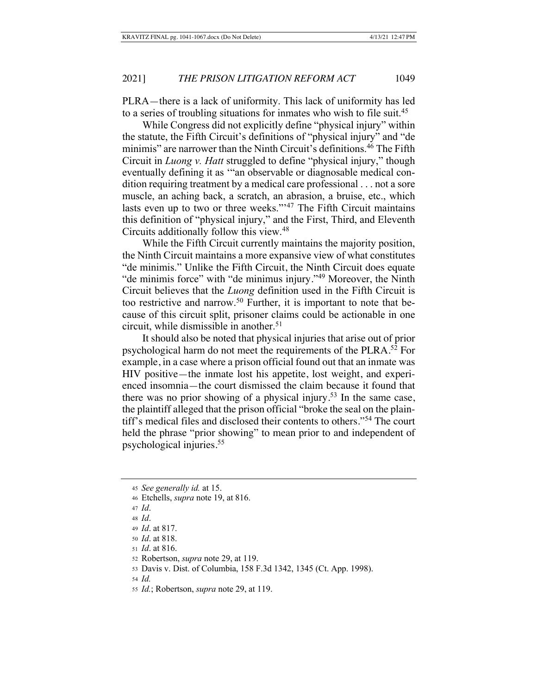PLRA-there is a lack of uniformity. This lack of uniformity has led to a series of troubling situations for inmates who wish to file suit.<sup>45</sup>

While Congress did not explicitly define "physical injury" within the statute, the Fifth Circuit's definitions of "physical injury" and "de minimis" are narrower than the Ninth Circuit's definitions.<sup>46</sup> The Fifth Circuit in *Luong v. Hatt* struggled to define "physical injury," though eventually defining it as "an observable or diagnosable medical condition requiring treatment by a medical care professional . . . not a sore muscle, an aching back, a scratch, an abrasion, a bruise, etc., which lasts even up to two or three weeks."<sup>47</sup> The Fifth Circuit maintains this definition of "physical injury," and the First, Third, and Eleventh Circuits additionally follow this view.<sup>48</sup>

While the Fifth Circuit currently maintains the majority position, the Ninth Circuit maintains a more expansive view of what constitutes "de minimis." Unlike the Fifth Circuit, the Ninth Circuit does equate "de minimis force" with "de minimus injury." $49$  Moreover, the Ninth Circuit believes that the *Luong* definition used in the Fifth Circuit is too restrictive and narrow.<sup>50</sup> Further, it is important to note that because of this circuit split, prisoner claims could be actionable in one circuit, while dismissible in another.<sup>51</sup>

It should also be noted that physical injuries that arise out of prior psychological harm do not meet the requirements of the PLRA.<sup>52</sup> For example, in a case where a prison official found out that an inmate was HIV positive—the inmate lost his appetite, lost weight, and experienced insomnia—the court dismissed the claim because it found that there was no prior showing of a physical injury.<sup>53</sup> In the same case, the plaintiff alleged that the prison official "broke the seal on the plaintiff's medical files and disclosed their contents to others."<sup>54</sup> The court held the phrase "prior showing" to mean prior to and independent of psychological injuries.

<sup>45</sup> See generally id. at 15.

<sup>46</sup> Etchells, *supra* note 19, at 816.

 $47$  *Id.* 

<sup>48</sup> *Id*.

<sup>49</sup> *Id.* at 817.

<sup>50</sup> *Id.* at 818.

<sup>51</sup> *Id.* at 816.

<sup>52</sup> Robertson, *supra* note 29, at 119.

<sup>53</sup> Davis v. Dist. of Columbia, 158 F.3d 1342, 1345 (Ct. App. 1998).

 $54$  *Id.* 

<sup>55</sup> Id.; Robertson, *supra* note 29, at 119.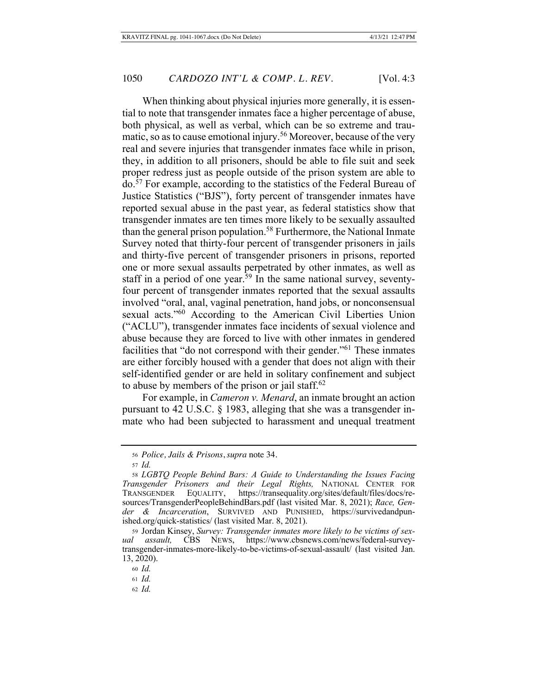When thinking about physical injuries more generally, it is essential to note that transgender inmates face a higher percentage of abuse, both physical, as well as verbal, which can be so extreme and traumatic, so as to cause emotional injury.<sup>56</sup> Moreover, because of the very real and severe injuries that transgender inmates face while in prison, they, in addition to all prisoners, should be able to file suit and seek proper redress just as people outside of the prison system are able to do.<sup>57</sup> For example, according to the statistics of the Federal Bureau of Justice Statistics ("BJS"), forty percent of transgender inmates have reported sexual abuse in the past year, as federal statistics show that transgender inmates are ten times more likely to be sexually assaulted than the general prison population.<sup>58</sup> Furthermore, the National Inmate Survey noted that thirty-four percent of transgender prisoners in jails and thirty-five percent of transgender prisoners in prisons, reported one or more sexual assaults perpetrated by other inmates, as well as staff in a period of one year.<sup>59</sup> In the same national survey, seventyfour percent of transgender inmates reported that the sexual assaults involved "oral, anal, vaginal penetration, hand jobs, or nonconsensual sexual acts."<sup>60</sup> According to the American Civil Liberties Union ("ACLU"), transgender inmates face incidents of sexual violence and abuse because they are forced to live with other inmates in gendered facilities that "do not correspond with their gender."<sup>61</sup> These inmates are either forcibly housed with a gender that does not align with their self-identified gender or are held in solitary confinement and subject to abuse by members of the prison or jail staff.<sup>62</sup>

For example, in *Cameron v. Menard*, an inmate brought an action pursuant to 42 U.S.C. § 1983, alleging that she was a transgender inmate who had been subjected to harassment and unequal treatment

*Police, Jails & Prisons*, *supra* note 34.

<sup>57</sup> *Id.* 

<sup>58</sup> LGBTQ People Behind Bars: A Guide to Understanding the Issues Facing Transgender Prisoners and their Legal Rights, NATIONAL CENTER FOR TRANSGENDER EQUALITY, https://transequality.org/sites/default/files/docs/resources/TransgenderPeopleBehindBars.pdf (last visited Mar. 8, 2021); Race, Gender & Incarceration, SURVIVED AND PUNISHED, https://survivedandpunished.org/quick-statistics/ (last visited Mar. 8, 2021).

<sup>59</sup> Jordan Kinsey, Survey: Transgender inmates more likely to be victims of sexual assault, CBS NEWS, https://www.cbsnews.com/news/federal-surveytransgender-inmates-more-likely-to-be-victims-of-sexual-assault/ (last visited Jan. 13, 2020).

<sup>60</sup> *Id.* 

 $61$  *Id.* 

<sup>62</sup> *Id.*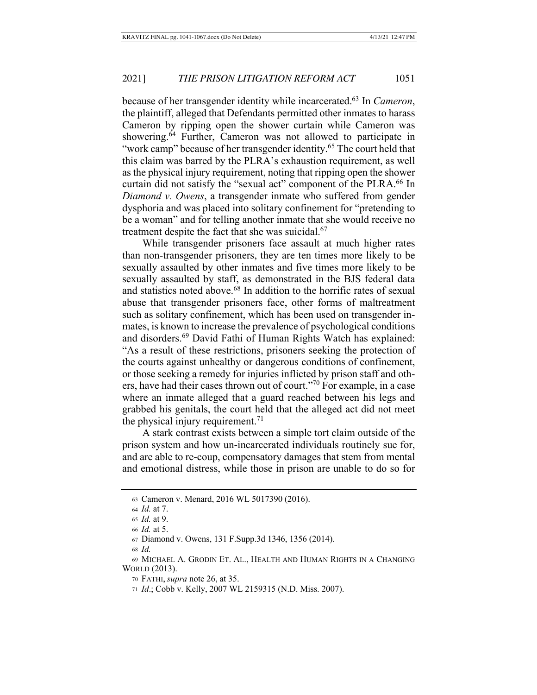because of her transgender identity while incarcerated.<sup>63</sup> In *Cameron*, the plaintiff, alleged that Defendants permitted other inmates to harass Cameron by ripping open the shower curtain while Cameron was showering.<sup>64</sup> Further, Cameron was not allowed to participate in "work camp" because of her transgender identity.<sup>65</sup> The court held that this claim was barred by the PLRA's exhaustion requirement, as well as the physical injury requirement, noting that ripping open the shower curtain did not satisfy the "sexual act" component of the PLRA.<sup>66</sup> In *Diamond v. Owens, a transgender inmate who suffered from gender* dysphoria and was placed into solitary confinement for "pretending to be a woman" and for telling another inmate that she would receive no treatment despite the fact that she was suicidal.<sup>67</sup>

While transgender prisoners face assault at much higher rates than non-transgender prisoners, they are ten times more likely to be sexually assaulted by other inmates and five times more likely to be sexually assaulted by staff, as demonstrated in the BJS federal data and statistics noted above.<sup>68</sup> In addition to the horrific rates of sexual abuse that transgender prisoners face, other forms of maltreatment such as solitary confinement, which has been used on transgender inmates, is known to increase the prevalence of psychological conditions and disorders.<sup>69</sup> David Fathi of Human Rights Watch has explained: "As a result of these restrictions, prisoners seeking the protection of the courts against unhealthy or dangerous conditions of confinement, or those seeking a remedy for injuries inflicted by prison staff and others, have had their cases thrown out of court."<sup>70</sup> For example, in a case where an inmate alleged that a guard reached between his legs and grabbed his genitals, the court held that the alleged act did not meet the physical injury requirement.<sup>71</sup>

A stark contrast exists between a simple tort claim outside of the prison system and how un-incarcerated individuals routinely sue for, and are able to re-coup, compensatory damages that stem from mental and emotional distress, while those in prison are unable to do so for

<sup>63</sup> Cameron v. Menard, 2016 WL 5017390 (2016).

<sup>64</sup> *Id.* at 7.

 $65$  *Id.* at 9.

<sup>66</sup> *Id.* at 5.

<sup>67</sup> Diamond v. Owens, 131 F. Supp. 3d 1346, 1356 (2014).

<sup>68</sup> *Id.* 

<sup>69</sup> MICHAEL A. GRODIN ET. AL., HEALTH AND HUMAN RIGHTS IN A CHANGING WORLD (2013).

<sup>70</sup> FATHI, *supra* note 26, at 35.

<sup>71</sup> *Id.*; Cobb v. Kelly, 2007 WL 2159315 (N.D. Miss. 2007).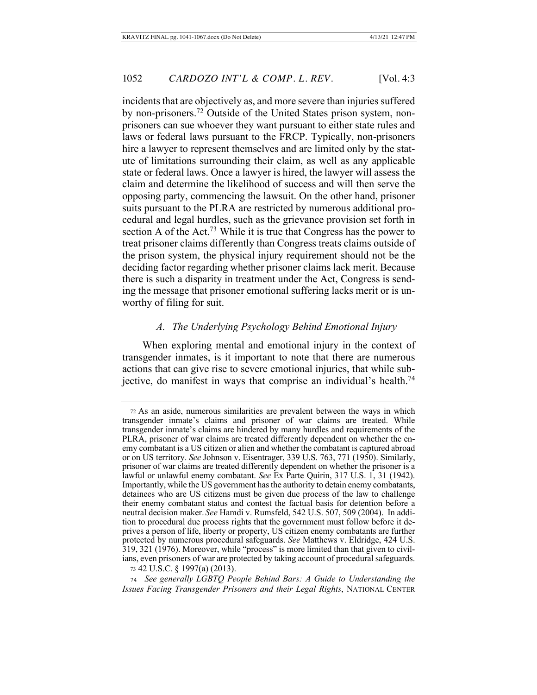incidents that are objectively as, and more severe than injuries suffered by non-prisoners.<sup>72</sup> Outside of the United States prison system, nonprisoners can sue whoever they want pursuant to either state rules and laws or federal laws pursuant to the FRCP. Typically, non-prisoners hire a lawyer to represent themselves and are limited only by the statute of limitations surrounding their claim, as well as any applicable state or federal laws. Once a lawyer is hired, the lawyer will assess the claim and determine the likelihood of success and will then serve the opposing party, commencing the lawsuit. On the other hand, prisoner suits pursuant to the PLRA are restricted by numerous additional procedural and legal hurdles, such as the grievance provision set forth in section A of the Act.<sup>73</sup> While it is true that Congress has the power to treat prisoner claims differently than Congress treats claims outside of the prison system, the physical injury requirement should not be the deciding factor regarding whether prisoner claims lack merit. Because there is such a disparity in treatment under the Act, Congress is sending the message that prisoner emotional suffering lacks merit or is unworthy of filing for suit.

# A. The Underlying Psychology Behind Emotional Injury

When exploring mental and emotional injury in the context of transgender inmates, is it important to note that there are numerous actions that can give rise to severe emotional injuries, that while subjective, do manifest in ways that comprise an individual's health.<sup>74</sup>

<sup>72</sup> As an aside, numerous similarities are prevalent between the ways in which transgender inmate's claims and prisoner of war claims are treated. While transgender inmate's claims are hindered by many hurdles and requirements of the PLRA, prisoner of war claims are treated differently dependent on whether the enemy combatant is a US citizen or alien and whether the combatant is captured abroad or on US territory. See Johnson v. Eisentrager, 339 U.S. 763, 771 (1950). Similarly, prisoner of war claims are treated differently dependent on whether the prisoner is a lawful or unlawful enemy combatant. See Ex Parte Quirin, 317 U.S. 1, 31 (1942). Importantly, while the US government has the authority to detain enemy combatants, detainees who are US citizens must be given due process of the law to challenge their enemy combatant status and contest the factual basis for detention before a neutral decision maker. See Hamdi v. Rumsfeld, 542 U.S. 507, 509 (2004). In addition to procedural due process rights that the government must follow before it deprives a person of life, liberty or property, US citizen enemy combatants are further protected by numerous procedural safeguards. See Matthews v. Eldridge, 424 U.S. 319, 321 (1976). Moreover, while "process" is more limited than that given to civilians, even prisoners of war are protected by taking account of procedural safeguards. 73 42 U.S.C. § 1997(a) (2013).

<sup>74</sup> See generally LGBTQ People Behind Bars: A Guide to Understanding the *Issues Facing Transgender Prisoners and their Legal Rights, NATIONAL CENTER*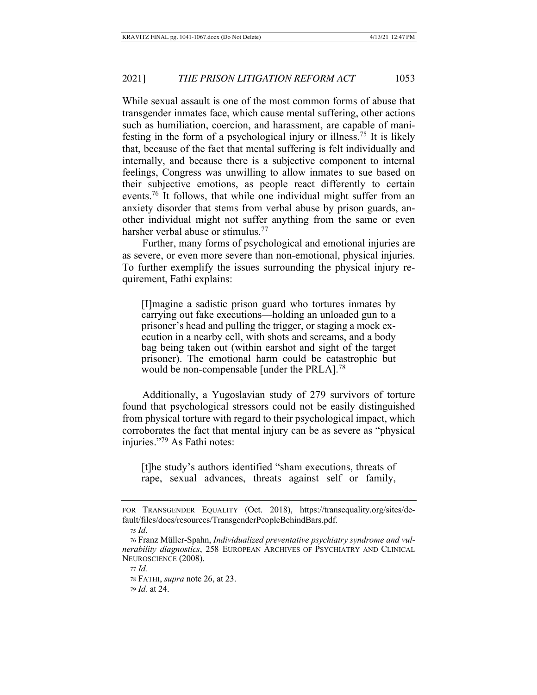While sexual assault is one of the most common forms of abuse that transgender inmates face, which cause mental suffering, other actions such as humiliation, coercion, and harassment, are capable of manifesting in the form of a psychological injury or illness.<sup>75</sup> It is likely that, because of the fact that mental suffering is felt individually and internally, and because there is a subjective component to internal feelings, Congress was unwilling to allow inmates to sue based on their subjective emotions, as people react differently to certain events.<sup>76</sup> It follows, that while one individual might suffer from an anxiety disorder that stems from verbal abuse by prison guards, another individual might not suffer anything from the same or even harsher verbal abuse or stimulus.<sup>77</sup>

Further, many forms of psychological and emotional injuries are as severe, or even more severe than non-emotional, physical injuries. To further exemplify the issues surrounding the physical injury requirement, Fathi explains:

[I] magine a sadistic prison guard who tortures inmates by carrying out fake executions—holding an unloaded gun to a prisoner's head and pulling the trigger, or staging a mock execution in a nearby cell, with shots and screams, and a body bag being taken out (within earshot and sight of the target prisoner). The emotional harm could be catastrophic but would be non-compensable [under the PRLA].<sup>78</sup>

Additionally, a Yugoslavian study of 279 survivors of torture found that psychological stressors could not be easily distinguished from physical torture with regard to their psychological impact, which corroborates the fact that mental injury can be as severe as "physical" injuries."<sup>79</sup> As Fathi notes:

[t]he study's authors identified "sham executions, threats of rape, sexual advances, threats against self or family,

77 *Id.* 

FOR TRANSGENDER EQUALITY (Oct. 2018), https://transequality.org/sites/default/files/docs/resources/TransgenderPeopleBehindBars.pdf.

<sup>75</sup> *Id.* 

<sup>76</sup> Franz Müller-Spahn, *Individualized preventative psychiatry syndrome and vul*nerability diagnostics, 258 EUROPEAN ARCHIVES OF PSYCHIATRY AND CLINICAL NEUROSCIENCE (2008).

<sup>78</sup> FATHI, *supra* note 26, at 23.

<sup>79</sup> *Id.* at 24.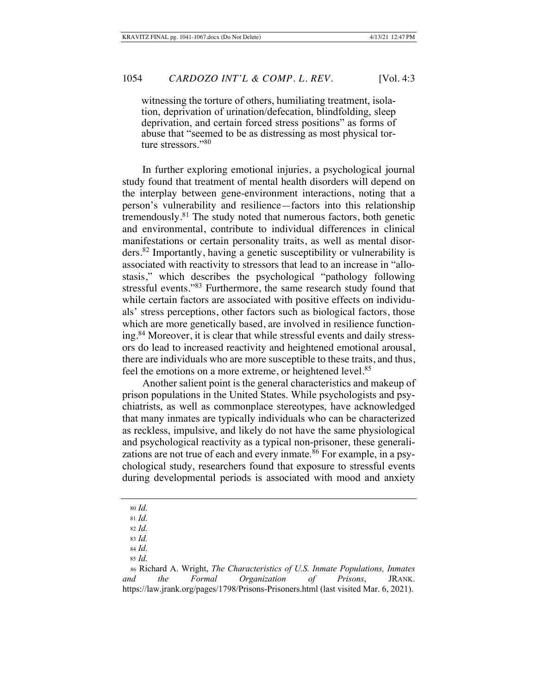witnessing the torture of others, humiliating treatment, isolation, deprivation of urination/defecation, blindfolding, sleep deprivation, and certain forced stress positions" as forms of abuse that "seemed to be as distressing as most physical torture stressors." $80$ 

In further exploring emotional injuries, a psychological journal study found that treatment of mental health disorders will depend on the interplay between gene-environment interactions, noting that a person's vulnerability and resilience—factors into this relationship tremendously.<sup>81</sup> The study noted that numerous factors, both genetic and environmental, contribute to individual differences in clinical manifestations or certain personality traits, as well as mental disorders.<sup>82</sup> Importantly, having a genetic susceptibility or vulnerability is associated with reactivity to stressors that lead to an increase in "allostasis," which describes the psychological "pathology following stressful events."<sup>83</sup> Furthermore, the same research study found that while certain factors are associated with positive effects on individuals' stress perceptions, other factors such as biological factors, those which are more genetically based, are involved in resilience functioning.<sup>84</sup> Moreover, it is clear that while stressful events and daily stressors do lead to increased reactivity and heightened emotional arousal, there are individuals who are more susceptible to these traits, and thus, feel the emotions on a more extreme, or heightened level.<sup>85</sup>

Another salient point is the general characteristics and makeup of prison populations in the United States. While psychologists and psychiatrists, as well as commonplace stereotypes, have acknowledged that many inmates are typically individuals who can be characterized as reckless, impulsive, and likely do not have the same physiological and psychological reactivity as a typical non-prisoner, these generalizations are not true of each and every inmate.<sup>86</sup> For example, in a psychological study, researchers found that exposure to stressful events during developmental periods is associated with mood and anxiety

<sup>80</sup> *Id.* 

<sup>81</sup> Id.

<sup>82</sup> *Id.* 

<sup>83</sup> *Id.* 84 *Id.* 

<sup>85</sup> *Id.* 

<sup>86</sup> Richard A. Wright, *The Characteristics of U.S. Inmate Populations, Inmates* and the Formal Organization of Prisons, JRANK. https://law.jrank.org/pages/1798/Prisons-Prisoners.html (last visited Mar. 6, 2021).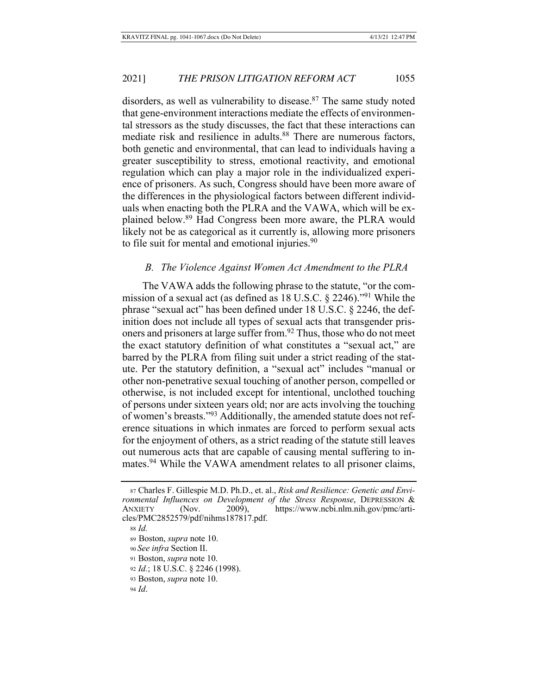disorders, as well as vulnerability to disease.<sup>87</sup> The same study noted that gene-environment interactions mediate the effects of environmental stressors as the study discusses, the fact that these interactions can mediate risk and resilience in adults.<sup>88</sup> There are numerous factors, both genetic and environmental, that can lead to individuals having a greater susceptibility to stress, emotional reactivity, and emotional regulation which can play a major role in the individualized experience of prisoners. As such, Congress should have been more aware of the differences in the physiological factors between different individuals when enacting both the PLRA and the VAWA, which will be explained below.<sup>89</sup> Had Congress been more aware, the PLRA would likely not be as categorical as it currently is, allowing more prisoners to file suit for mental and emotional injuries. $90$ 

#### B. The Violence Against Women Act Amendment to the PLRA

The VAWA adds the following phrase to the statute, "or the commission of a sexual act (as defined as 18 U.S.C.  $\S$  2246).<sup>191</sup> While the phrase "sexual act" has been defined under 18 U.S.C. § 2246, the definition does not include all types of sexual acts that transgender prisoners and prisoners at large suffer from.<sup>92</sup> Thus, those who do not meet the exact statutory definition of what constitutes a "sexual act," are barred by the PLRA from filing suit under a strict reading of the statute. Per the statutory definition, a "sexual act" includes "manual or other non-penetrative sexual touching of another person, compelled or otherwise, is not included except for intentional, unclothed touching of persons under sixteen years old; nor are acts involving the touching of women's breasts."93 Additionally, the amended statute does not reference situations in which inmates are forced to perform sexual acts for the enjoyment of others, as a strict reading of the statute still leaves out numerous acts that are capable of causing mental suffering to inmates.<sup>94</sup> While the VAWA amendment relates to all prisoner claims,

90 See infra Section II.

<sup>87</sup> Charles F. Gillespie M.D. Ph.D., et. al., Risk and Resilience: Genetic and Envi-*Fonmental Influences on Development of the Stress Response*, DEPRESSION & ANXIETY (Nov. 2009), https://www.ncbi.nlm.nih.gov/pmc/articles/PMC2852579/pdf/nihms187817.pdf.

<sup>88</sup> *Id.* 

<sup>89</sup> Boston, *supra* note 10.

<sup>91</sup> Boston, *supra* note 10.

<sup>92</sup> *Id.*; 18 U.S.C. § 2246 (1998).

<sup>93</sup> Boston, *supra* note 10.

<sup>94</sup> *Id.*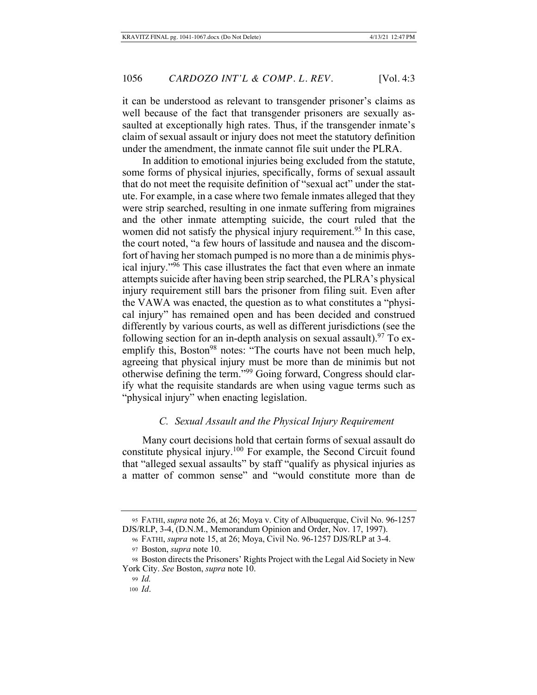it can be understood as relevant to transgender prisoner's claims as well because of the fact that transgender prisoners are sexually assaulted at exceptionally high rates. Thus, if the transgender inmate's claim of sexual assault or injury does not meet the statutory definition under the amendment, the inmate cannot file suit under the PLRA.

In addition to emotional injuries being excluded from the statute, some forms of physical injuries, specifically, forms of sexual assault that do not meet the requisite definition of "sexual act" under the statute. For example, in a case where two female inmates alleged that they were strip searched, resulting in one inmate suffering from migraines and the other inmate attempting suicide, the court ruled that the women did not satisfy the physical injury requirement.<sup>95</sup> In this case, the court noted, "a few hours of lassitude and nausea and the discomfort of having her stomach pumped is no more than a de minimis physical injury." $95$  This case illustrates the fact that even where an inmate attempts suicide after having been strip searched, the PLRA's physical injury requirement still bars the prisoner from filing suit. Even after the VAWA was enacted, the question as to what constitutes a "physical injury" has remained open and has been decided and construed differently by various courts, as well as different jurisdictions (see the following section for an in-depth analysis on sexual assault).<sup>97</sup> To exemplify this, Boston<sup>98</sup> notes: "The courts have not been much help, agreeing that physical injury must be more than de minimis but not otherwise defining the term."<sup>99</sup> Going forward, Congress should clarify what the requisite standards are when using vague terms such as "physical injury" when enacting legislation.

## *C.* Sexual Assault and the Physical Injury Requirement

Many court decisions hold that certain forms of sexual assault do constitute physical injury.<sup>100</sup> For example, the Second Circuit found that "alleged sexual assaults" by staff "qualify as physical injuries as a matter of common sense" and "would constitute more than de

<sup>95</sup> FATHI, *supra* note 26, at 26; Moya v. City of Albuquerque, Civil No. 96-1257 DJS/RLP, 3-4, (D.N.M., Memorandum Opinion and Order, Nov. 17, 1997).

<sup>96</sup> FATHI, *supra* note 15, at 26; Moya, Civil No. 96-1257 DJS/RLP at 3-4.

<sup>97</sup> Boston, *supra* note 10.

<sup>98</sup> Boston directs the Prisoners' Rights Project with the Legal Aid Society in New York City. See Boston, *supra* note 10.

<sup>99</sup> *Id.* 

<sup>100</sup> Id.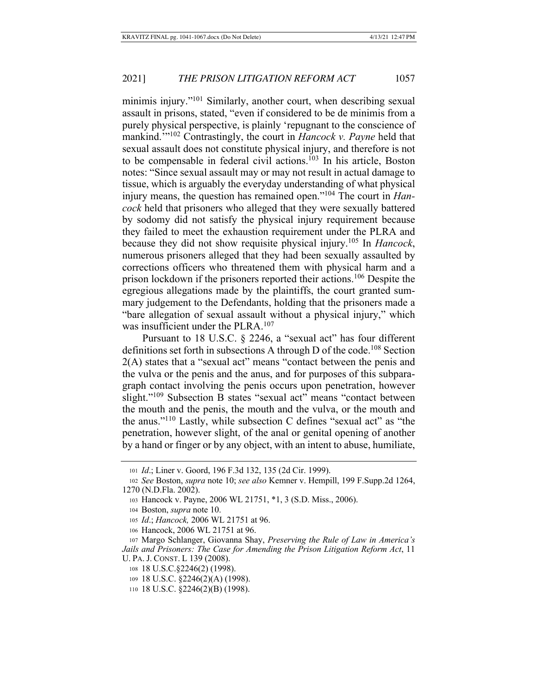minimis injury."<sup>101</sup> Similarly, another court, when describing sexual assault in prisons, stated, "even if considered to be de minimis from a purely physical perspective, is plainly 'repugnant to the conscience of mankind."<sup>102</sup> Contrastingly, the court in *Hancock v. Payne* held that sexual assault does not constitute physical injury, and therefore is not to be compensable in federal civil actions.<sup>103</sup> In his article, Boston notes: "Since sexual assault may or may not result in actual damage to tissue, which is arguably the everyday understanding of what physical injury means, the question has remained open."<sup>104</sup> The court in *Hancock* held that prisoners who alleged that they were sexually battered by sodomy did not satisfy the physical injury requirement because they failed to meet the exhaustion requirement under the PLRA and because they did not show requisite physical injury.<sup>105</sup> In *Hancock*, numerous prisoners alleged that they had been sexually assaulted by corrections officers who threatened them with physical harm and a prison lockdown if the prisoners reported their actions.<sup>106</sup> Despite the egregious allegations made by the plaintiffs, the court granted summary judgement to the Defendants, holding that the prisoners made a "bare allegation of sexual assault without a physical injury," which was insufficient under the PLRA.<sup>107</sup>

Pursuant to 18 U.S.C. § 2246, a "sexual act" has four different definitions set forth in subsections A through D of the code.<sup>108</sup> Section  $2(A)$  states that a "sexual act" means "contact between the penis and the vulva or the penis and the anus, and for purposes of this subparagraph contact involving the penis occurs upon penetration, however slight."<sup>109</sup> Subsection B states "sexual act" means "contact between the mouth and the penis, the mouth and the vulva, or the mouth and the anus."<sup>110</sup> Lastly, while subsection C defines "sexual act" as "the penetration, however slight, of the anal or genital opening of another by a hand or finger or by any object, with an intent to abuse, humiliate,

106 Hancock, 2006 WL 21751 at 96.

107 Margo Schlanger, Giovanna Shay, Preserving the Rule of Law in America's Jails and Prisoners: The Case for Amending the Prison Litigation Reform Act, 11 U. PA. J. CONST. L 139 (2008).

108 18 U.S.C. § 2246(2) (1998).

<sup>101</sup> *Id.*; Liner v. Goord, 196 F.3d 132, 135 (2d Cir. 1999).

<sup>102</sup> See Boston, *supra* note 10; see also Kemner v. Hempill, 199 F.Supp.2d 1264, 1270 (N.D.Fla. 2002).

<sup>103</sup> Hancock v. Payne, 2006 WL 21751, \*1, 3 (S.D. Miss., 2006).

<sup>104</sup> Boston, *supra* note 10.

<sup>105</sup> Id.; Hancock, 2006 WL 21751 at 96.

<sup>109 18</sup> U.S.C. §2246(2)(A) (1998).

<sup>110 18</sup> U.S.C. §2246(2)(B) (1998).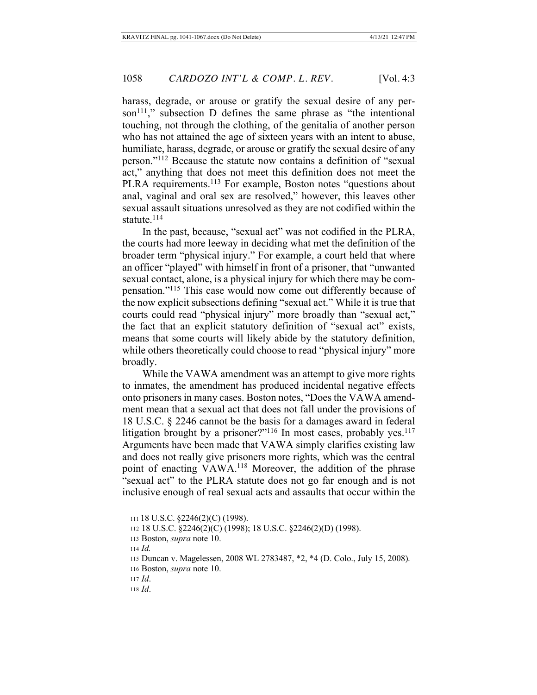harass, degrade, or arouse or gratify the sexual desire of any person<sup>111</sup>," subsection D defines the same phrase as "the intentional touching, not through the clothing, of the genitalia of another person who has not attained the age of sixteen years with an intent to abuse, humiliate, harass, degrade, or arouse or gratify the sexual desire of any person."<sup>112</sup> Because the statute now contains a definition of "sexual" act," anything that does not meet this definition does not meet the PLRA requirements.<sup>113</sup> For example, Boston notes "questions about anal, vaginal and oral sex are resolved," however, this leaves other sexual assault situations unresolved as they are not codified within the statute. $114$ 

In the past, because, "sexual act" was not codified in the PLRA, the courts had more leeway in deciding what met the definition of the broader term "physical injury." For example, a court held that where an officer "played" with himself in front of a prisoner, that "unwanted" sexual contact, alone, is a physical injury for which there may be compensation."<sup>115</sup> This case would now come out differently because of the now explicit subsections defining "sexual act." While it is true that courts could read "physical injury" more broadly than "sexual act," the fact that an explicit statutory definition of "sexual act" exists, means that some courts will likely abide by the statutory definition, while others theoretically could choose to read "physical injury" more broadly.

While the VAWA amendment was an attempt to give more rights to inmates, the amendment has produced incidental negative effects onto prisoners in many cases. Boston notes, "Does the VAWA amendment mean that a sexual act that does not fall under the provisions of 18 U.S.C.  $\S$  2246 cannot be the basis for a damages award in federal litigation brought by a prisoner?"<sup>116</sup> In most cases, probably yes.<sup>117</sup> Arguments have been made that VAWA simply clarifies existing law and does not really give prisoners more rights, which was the central point of enacting VAWA.<sup>118</sup> Moreover, the addition of the phrase "sexual act" to the PLRA statute does not go far enough and is not inclusive enough of real sexual acts and assaults that occur within the

 $111$  18 U.S.C.  $\S2246(2)(C)$  (1998).

<sup>112 18</sup> U.S.C. §2246(2)(C) (1998); 18 U.S.C. §2246(2)(D) (1998).

<sup>113</sup> Boston, *supra* note 10.

 $114$  *Id.* 

<sup>115</sup> Duncan v. Magelessen, 2008 WL 2783487, \*2, \*4 (D. Colo., July 15, 2008).

<sup>116</sup> Boston, *supra* note 10.

 $117$  *Id.* 

<sup>118</sup> *Id*.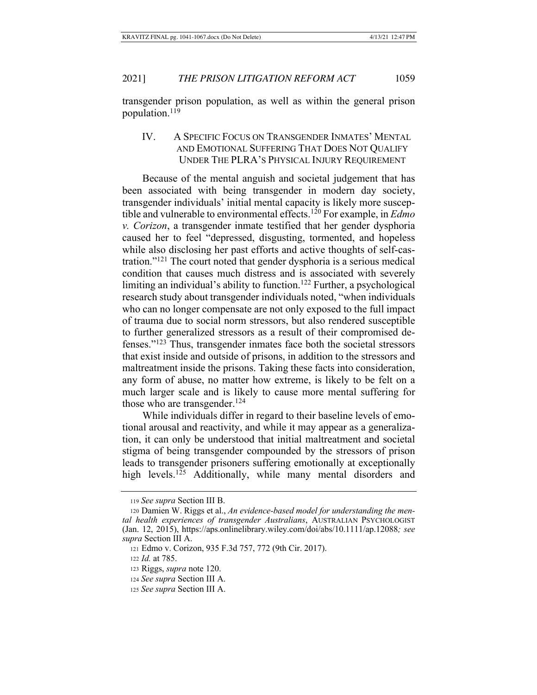transgender prison population, as well as within the general prison population. $119$ 

IV. A SPECIFIC FOCUS ON TRANSGENDER INMATES' MENTAL AND EMOTIONAL SUFFERING THAT DOES NOT QUALIFY UNDER THE PLRA'S PHYSICAL INJURY REQUIREMENT

Because of the mental anguish and societal judgement that has been associated with being transgender in modern day society, transgender individuals' initial mental capacity is likely more susceptible and vulnerable to environmental effects.<sup>120</sup> For example, in *Edmo v. Corizon*, a transgender inmate testified that her gender dysphoria caused her to feel "depressed, disgusting, tormented, and hopeless while also disclosing her past efforts and active thoughts of self-castration." $121$  The court noted that gender dysphoria is a serious medical condition that causes much distress and is associated with severely limiting an individual's ability to function.<sup>122</sup> Further, a psychological research study about transgender individuals noted, "when individuals" who can no longer compensate are not only exposed to the full impact of trauma due to social norm stressors, but also rendered susceptible to further generalized stressors as a result of their compromised defenses."<sup>123</sup>Thus, transgender inmates face both the societal stressors that exist inside and outside of prisons, in addition to the stressors and maltreatment inside the prisons. Taking these facts into consideration, any form of abuse, no matter how extreme, is likely to be felt on a much larger scale and is likely to cause more mental suffering for those who are transgender.<sup>124</sup>

While individuals differ in regard to their baseline levels of emotional arousal and reactivity, and while it may appear as a generalization, it can only be understood that initial maltreatment and societal stigma of being transgender compounded by the stressors of prison leads to transgender prisoners suffering emotionally at exceptionally high levels.<sup>125</sup> Additionally, while many mental disorders and

<sup>119</sup> See supra Section III B.

<sup>120</sup> Damien W. Riggs et al., An evidence-based model for understanding the mental health experiences of transgender Australians, AUSTRALIAN PSYCHOLOGIST (Jan. 12, 2015), https://aps.onlinelibrary.wiley.com/doi/abs/10.1111/ap.12088; see supra Section III A.

<sup>121</sup> Edmo v. Corizon, 935 F.3d 757, 772 (9th Cir. 2017).

<sup>122</sup> *Id.* at 785.

<sup>123</sup> Riggs, *supra* note 120.

<sup>124</sup> See supra Section III A.

<sup>125</sup> See supra Section III A.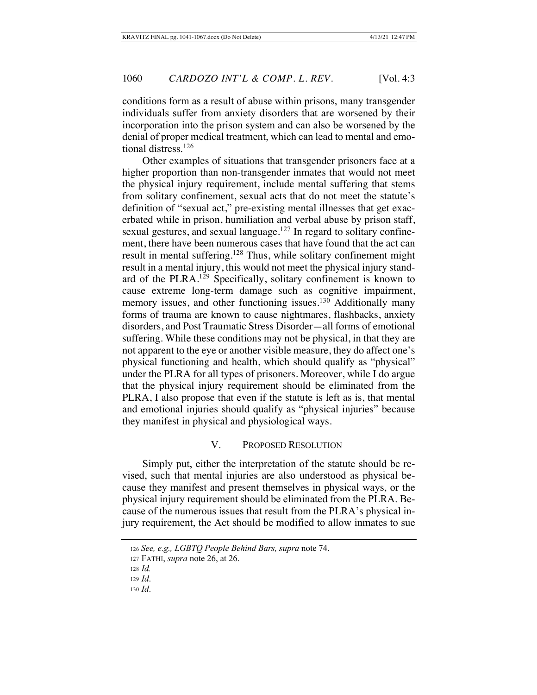conditions form as a result of abuse within prisons, many transgender individuals suffer from anxiety disorders that are worsened by their incorporation into the prison system and can also be worsened by the denial of proper medical treatment, which can lead to mental and emotional distress.<sup>126</sup>

Other examples of situations that transgender prisoners face at a higher proportion than non-transgender inmates that would not meet the physical injury requirement, include mental suffering that stems from solitary confinement, sexual acts that do not meet the statute's definition of "sexual act," pre-existing mental illnesses that get exacerbated while in prison, humiliation and verbal abuse by prison staff, sexual gestures, and sexual language.<sup>127</sup> In regard to solitary confinement, there have been numerous cases that have found that the act can result in mental suffering.<sup>128</sup> Thus, while solitary confinement might result in a mental injury, this would not meet the physical injury standard of the PLRA.<sup>129</sup> Specifically, solitary confinement is known to cause extreme long-term damage such as cognitive impairment, memory issues, and other functioning issues.<sup>130</sup> Additionally many forms of trauma are known to cause nightmares, flashbacks, anxiety disorders, and Post Traumatic Stress Disorder—all forms of emotional suffering. While these conditions may not be physical, in that they are not apparent to the eye or another visible measure, they do affect one's physical functioning and health, which should qualify as "physical" under the PLRA for all types of prisoners. Moreover, while I do argue that the physical injury requirement should be eliminated from the PLRA, I also propose that even if the statute is left as is, that mental and emotional injuries should qualify as "physical injuries" because they manifest in physical and physiological ways.

#### V. PROPOSED RESOLUTION

Simply put, either the interpretation of the statute should be revised, such that mental injuries are also understood as physical because they manifest and present themselves in physical ways, or the physical injury requirement should be eliminated from the PLRA. Because of the numerous issues that result from the PLRA's physical injury requirement, the Act should be modified to allow inmates to sue

<sup>126</sup> See, e.g., LGBTQ People Behind Bars, supra note 74.

<sup>127</sup> FATHI, *supra* note 26, at 26.

<sup>128</sup> *Id.* 

 $129$  *Id.* 

 $130$  *Id.*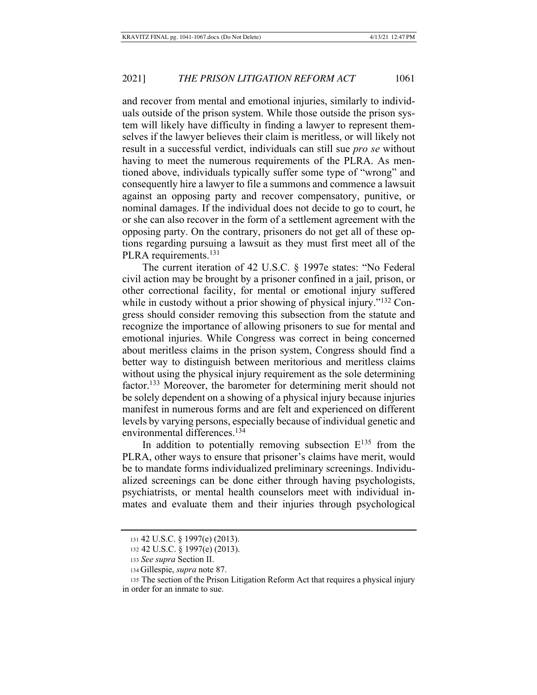and recover from mental and emotional injuries, similarly to individuals outside of the prison system. While those outside the prison system will likely have difficulty in finding a lawyer to represent themselves if the lawyer believes their claim is meritless, or will likely not result in a successful verdict, individuals can still sue *pro se* without having to meet the numerous requirements of the PLRA. As mentioned above, individuals typically suffer some type of "wrong" and consequently hire a lawyer to file a summons and commence a lawsuit against an opposing party and recover compensatory, punitive, or nominal damages. If the individual does not decide to go to court, he or she can also recover in the form of a settlement agreement with the opposing party. On the contrary, prisoners do not get all of these options regarding pursuing a lawsuit as they must first meet all of the PLRA requirements.<sup>131</sup>

The current iteration of 42 U.S.C.  $\S$  1997e states: "No Federal civil action may be brought by a prisoner confined in a jail, prison, or other correctional facility, for mental or emotional injury suffered while in custody without a prior showing of physical injury." $132$  Congress should consider removing this subsection from the statute and recognize the importance of allowing prisoners to sue for mental and emotional injuries. While Congress was correct in being concerned about meritless claims in the prison system, Congress should find a better way to distinguish between meritorious and meritless claims without using the physical injury requirement as the sole determining factor.<sup>133</sup> Moreover, the barometer for determining merit should not be solely dependent on a showing of a physical injury because injuries manifest in numerous forms and are felt and experienced on different levels by varying persons, especially because of individual genetic and environmental differences.<sup>134</sup>

In addition to potentially removing subsection  $E^{135}$  from the PLRA, other ways to ensure that prisoner's claims have merit, would be to mandate forms individualized preliminary screenings. Individualized screenings can be done either through having psychologists, psychiatrists, or mental health counselors meet with individual inmates and evaluate them and their injuries through psychological

<sup>131 42</sup> U.S.C. § 1997(e) (2013).

<sup>132 42</sup> U.S.C. § 1997(e) (2013).

<sup>133</sup> See supra Section II.

<sup>134</sup> Gillespie, *supra* note 87.

<sup>135</sup> The section of the Prison Litigation Reform Act that requires a physical injury in order for an inmate to sue.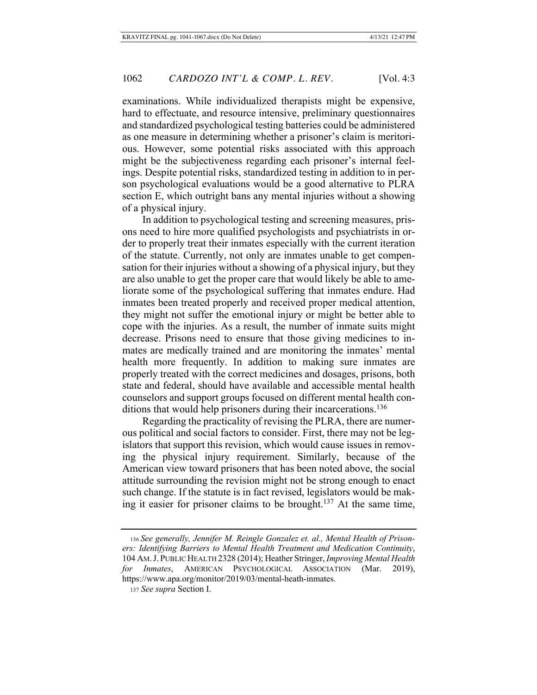examinations. While individualized therapists might be expensive, hard to effectuate, and resource intensive, preliminary questionnaires and standardized psychological testing batteries could be administered as one measure in determining whether a prisoner's claim is meritorious. However, some potential risks associated with this approach might be the subjectiveness regarding each prisoner's internal feelings. Despite potential risks, standardized testing in addition to in person psychological evaluations would be a good alternative to PLRA section E, which outright bans any mental injuries without a showing of a physical injury.

In addition to psychological testing and screening measures, prisons need to hire more qualified psychologists and psychiatrists in order to properly treat their inmates especially with the current iteration of the statute. Currently, not only are inmates unable to get compensation for their injuries without a showing of a physical injury, but they are also unable to get the proper care that would likely be able to ameliorate some of the psychological suffering that inmates endure. Had inmates been treated properly and received proper medical attention, they might not suffer the emotional injury or might be better able to cope with the injuries. As a result, the number of inmate suits might decrease. Prisons need to ensure that those giving medicines to inmates are medically trained and are monitoring the inmates' mental health more frequently. In addition to making sure inmates are properly treated with the correct medicines and dosages, prisons, both state and federal, should have available and accessible mental health counselors and support groups focused on different mental health conditions that would help prisoners during their incarcerations.<sup>136</sup>

Regarding the practicality of revising the PLRA, there are numerous political and social factors to consider. First, there may not be legislators that support this revision, which would cause issues in removing the physical injury requirement. Similarly, because of the American view toward prisoners that has been noted above, the social attitude surrounding the revision might not be strong enough to enact such change. If the statute is in fact revised, legislators would be making it easier for prisoner claims to be brought.<sup>137</sup> At the same time,

<sup>136</sup> See generally, Jennifer M. Reingle Gonzalez et. al., Mental Health of Prisoners: Identifying Barriers to Mental Health Treatment and Medication Continuity, 104 AM. J. PUBLIC HEALTH 2328 (2014); Heather Stringer, Improving Mental Health for Inmates, AMERICAN PSYCHOLOGICAL ASSOCIATION (Mar. 2019). https://www.apa.org/monitor/2019/03/mental-heath-inmates.

<sup>&</sup>lt;sup>137</sup> See supra Section I.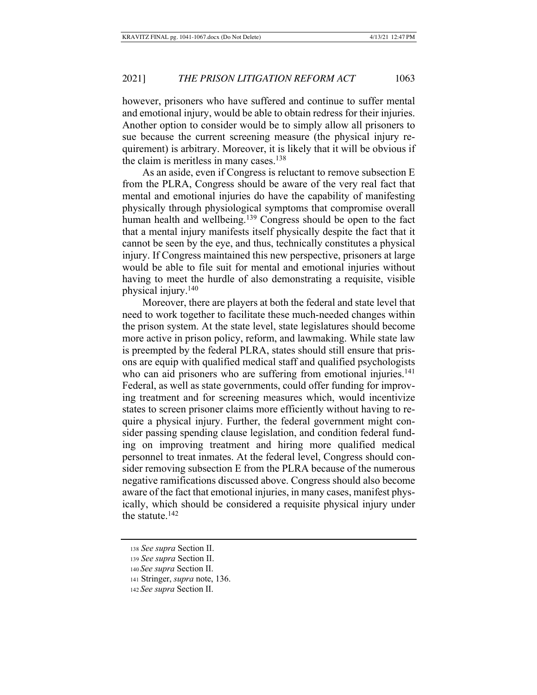however, prisoners who have suffered and continue to suffer mental and emotional injury, would be able to obtain redress for their injuries. Another option to consider would be to simply allow all prisoners to sue because the current screening measure (the physical injury requirement) is arbitrary. Moreover, it is likely that it will be obvious if the claim is meritless in many cases.  $138$ 

As an aside, even if Congress is reluctant to remove subsection E from the PLRA, Congress should be aware of the very real fact that mental and emotional injuries do have the capability of manifesting physically through physiological symptoms that compromise overall human health and wellbeing.<sup>139</sup> Congress should be open to the fact that a mental injury manifests itself physically despite the fact that it cannot be seen by the eye, and thus, technically constitutes a physical injury. If Congress maintained this new perspective, prisoners at large would be able to file suit for mental and emotional injuries without having to meet the hurdle of also demonstrating a requisite, visible physical injury.<sup>140</sup>

Moreover, there are players at both the federal and state level that need to work together to facilitate these much-needed changes within the prison system. At the state level, state legislatures should become more active in prison policy, reform, and law making. While state law is preempted by the federal PLRA, states should still ensure that prisons are equip with qualified medical staff and qualified psychologists who can aid prisoners who are suffering from emotional injuries.<sup>141</sup> Federal, as well as state governments, could offer funding for improving treatment and for screening measures which, would incentivize states to screen prisoner claims more efficiently without having to require a physical injury. Further, the federal government might consider passing spending clause legislation, and condition federal funding on improving treatment and hiring more qualified medical personnel to treat inmates. At the federal level, Congress should consider removing subsection E from the PLRA because of the numerous negative ramifications discussed above. Congress should also become aware of the fact that emotional injuries, in many cases, manifest physically, which should be considered a requisite physical injury under the statute. $142$ 

<sup>138</sup> See supra Section II.

<sup>139</sup> See supra Section II.

<sup>140</sup> See supra Section II.

<sup>141</sup> Stringer, *supra* note, 136.

<sup>142</sup> See supra Section II.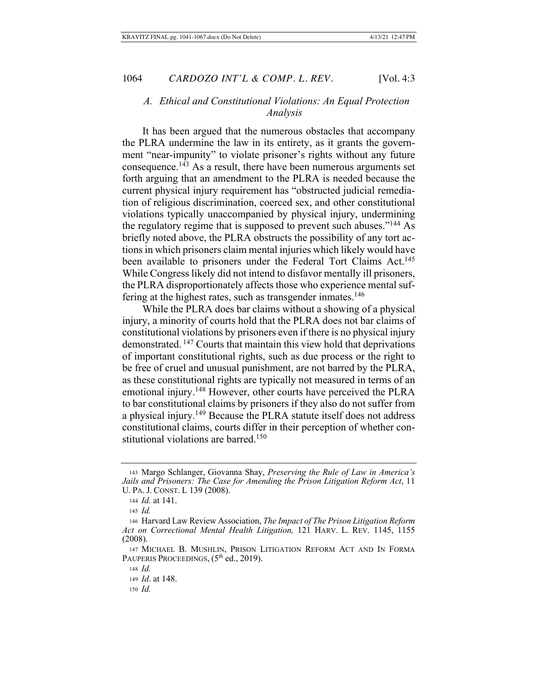## A. Ethical and Constitutional Violations: An Equal Protection *Analysis*

It has been argued that the numerous obstacles that accompany the PLRA undermine the law in its entirety, as it grants the government "near-impunity" to violate prisoner's rights without any future consequence.<sup>143</sup> As a result, there have been numerous arguments set forth arguing that an amendment to the PLRA is needed because the current physical injury requirement has "obstructed judicial remediation of religious discrimination, coerced sex, and other constitutional violations typically unaccompanied by physical injury, undermining the regulatory regime that is supposed to prevent such abuses."<sup>144</sup> As briefly noted above, the PLRA obstructs the possibility of any tort actions in which prisoners claim mental injuries which likely would have been available to prisoners under the Federal Tort Claims Act.<sup>145</sup> While Congress likely did not intend to disfavor mentally ill prisoners, the PLRA disproportionately affects those who experience mental suffering at the highest rates, such as transgender inmates.<sup>146</sup>

While the PLRA does bar claims without a showing of a physical injury, a minority of courts hold that the PLRA does not bar claims of constitutional violations by prisoners even if there is no physical injury demonstrated.<sup>147</sup> Courts that maintain this view hold that deprivations of important constitutional rights, such as due process or the right to be free of cruel and unusual punishment, are not barred by the PLRA, as these constitutional rights are typically not measured in terms of an emotional injury.<sup>148</sup> However, other courts have perceived the PLRA to bar constitutional claims by prisoners if they also do not suffer from a physical injury.<sup>149</sup> Because the PLRA statute itself does not address constitutional claims, courts differ in their perception of whether constitutional violations are barred.<sup>150</sup>

<sup>143</sup> Margo Schlanger, Giovanna Shay, Preserving the Rule of Law in America's Jails and Prisoners: The Case for Amending the Prison Litigation Reform Act, 11 U. PA. J. CONST. L 139 (2008).

 $144$  *Id.* at 141.

 $145$  *Id.* 

<sup>146</sup> Harvard Law Review Association, The Impact of The Prison Litigation Reform Act on Correctional Mental Health Litigation, 121 HARV. L. REV. 1145, 1155  $(2008).$ 

<sup>147</sup> MICHAEL B. MUSHLIN, PRISON LITIGATION REFORM ACT AND IN FORMA PAUPERIS PROCEEDINGS, (5<sup>th</sup> ed., 2019).

<sup>148</sup> Id.

<sup>149</sup> *Id.* at 148.

<sup>150</sup> Id.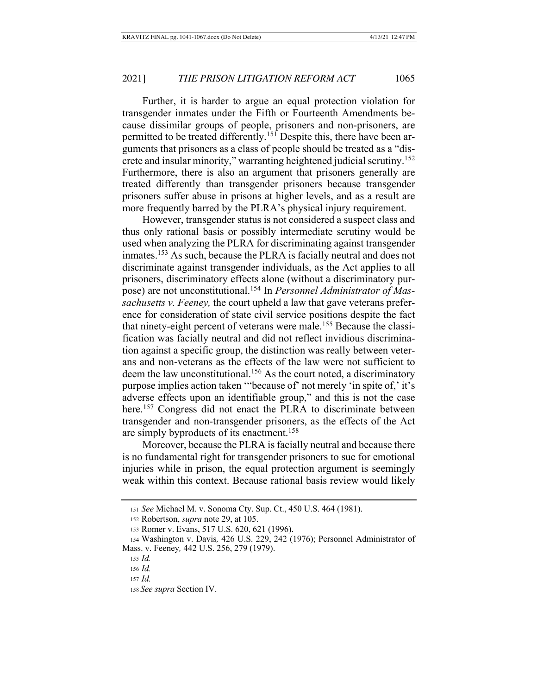Further, it is harder to argue an equal protection violation for transgender inmates under the Fifth or Fourteenth Amendments because dissimilar groups of people, prisoners and non-prisoners, are permitted to be treated differently.<sup>151</sup> Despite this, there have been arguments that prisoners as a class of people should be treated as a "discrete and insular minority," warranting heightened judicial scrutiny.<sup>152</sup> Furthermore, there is also an argument that prisoners generally are treated differently than transgender prisoners because transgender prisoners suffer abuse in prisons at higher levels, and as a result are more frequently barred by the PLRA's physical injury requirement.

However, transgender status is not considered a suspect class and thus only rational basis or possibly intermediate scrutiny would be used when analyzing the PLRA for discriminating against transgender inmates.<sup>153</sup> As such, because the PLRA is facially neutral and does not discriminate against transgender individuals, as the Act applies to all prisoners, discriminatory effects alone (without a discriminatory purpose) are not unconstitutional.<sup>154</sup> In *Personnel Administrator of Mas*sachusetts v. Feeney, the court upheld a law that gave veterans preference for consideration of state civil service positions despite the fact that ninety-eight percent of veterans were male.<sup>155</sup> Because the classification was facially neutral and did not reflect invidious discrimination against a specific group, the distinction was really between veterans and non-veterans as the effects of the law were not sufficient to deem the law unconstitutional.<sup>156</sup> As the court noted, a discriminatory purpose implies action taken "because of" not merely 'in spite of,' it's adverse effects upon an identifiable group," and this is not the case here.<sup>157</sup> Congress did not enact the PLRA to discriminate between transgender and non-transgender prisoners, as the effects of the Act are simply byproducts of its enactment.<sup>158</sup>

Moreover, because the PLRA is facially neutral and because there is no fundamental right for transgender prisoners to sue for emotional injuries while in prison, the equal protection argument is seemingly weak within this context. Because rational basis review would likely

<sup>151</sup> See Michael M. v. Sonoma Cty. Sup. Ct., 450 U.S. 464 (1981).

<sup>152</sup> Robertson, *supra* note 29, at 105.

<sup>153</sup> Romer v. Evans, 517 U.S. 620, 621 (1996).

<sup>154</sup> Washington v. Davis, 426 U.S. 229, 242 (1976); Personnel Administrator of Mass. v. Feeney, 442 U.S. 256, 279 (1979).

<sup>155</sup> *Id.* 

<sup>156</sup> *Id.* 

<sup>157</sup> *Id.* 

<sup>158</sup> See supra Section IV.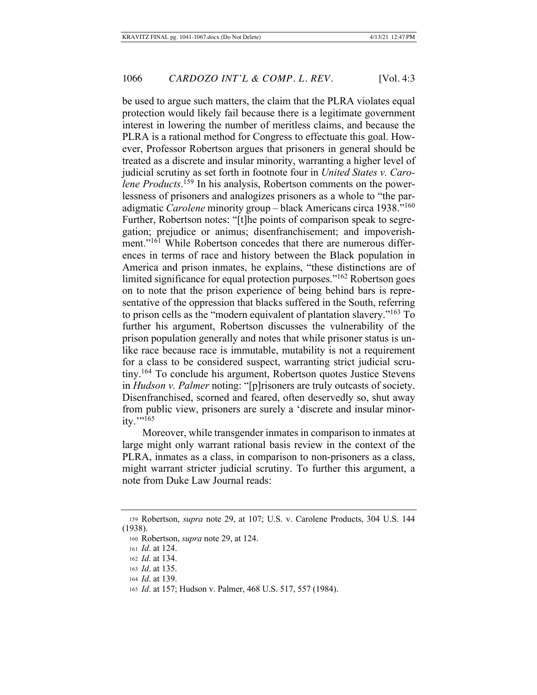be used to argue such matters, the claim that the PLRA violates equal protection would likely fail because there is a legitimate government interest in lowering the number of meritless claims, and because the PLRA is a rational method for Congress to effectuate this goal. However, Professor Robertson argues that prisoners in general should be treated as a discrete and insular minority, warranting a higher level of judicial scrutiny as set forth in footnote four in *United States v. Carolene Products*.<sup>159</sup> In his analysis, Robertson comments on the powerlessness of prisoners and analogizes prisoners as a whole to "the paradigmatic Carolene minority group - black Americans circa 1938."<sup>160</sup> Further, Robertson notes: "[t]he points of comparison speak to segregation; prejudice or animus; disenfranchisement; and impoverishment."<sup>161</sup> While Robertson concedes that there are numerous differences in terms of race and history between the Black population in America and prison inmates, he explains, "these distinctions are of limited significance for equal protection purposes."<sup>162</sup> Robertson goes on to note that the prison experience of being behind bars is representative of the oppression that blacks suffered in the South, referring to prison cells as the "modern equivalent of plantation slavery."<sup>163</sup> To further his argument, Robertson discusses the vulnerability of the prison population generally and notes that while prisoner status is unlike race because race is immutable, mutability is not a requirement for a class to be considered suspect, warranting strict judicial scrutiny.<sup>164</sup> To conclude his argument, Robertson quotes Justice Stevens in *Hudson v. Palmer* noting: "[p]risoners are truly outcasts of society. Disenfranchised, scorned and feared, often deservedly so, shut away from public view, prisoners are surely a 'discrete and insular minor $itv.$ "<sup>165</sup>

Moreover, while transgender inmates in comparison to inmates at large might only warrant rational basis review in the context of the PLRA, inmates as a class, in comparison to non-prisoners as a class, might warrant stricter judicial scrutiny. To further this argument, a note from Duke Law Journal reads:

<sup>159</sup> Robertson, *supra* note 29, at 107; U.S. v. Carolene Products, 304 U.S. 144  $(1938).$ 

<sup>160</sup> Robertson, *supra* note 29, at 124.

<sup>161</sup> *Id.* at 124.

<sup>162</sup> *Id.* at 134.

<sup>163</sup> *Id.* at 135.

<sup>164</sup> *Id.* at 139.

<sup>165</sup> *Id.* at 157; Hudson v. Palmer, 468 U.S. 517, 557 (1984).